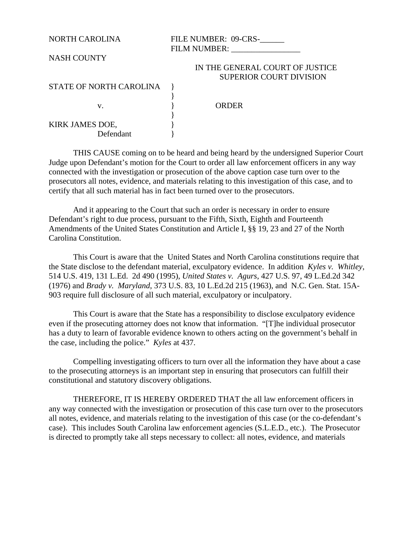NORTH CAROLINA FILE NUMBER: 09-CRS-\_\_\_\_\_\_ FILM NUMBER:

## NASH COUNTY

## IN THE GENERAL COURT OF JUSTICE SUPERIOR COURT DIVISION

| STATE OF NORTH CAROLINA |
|-------------------------|
|-------------------------|

| I |  |  |  |
|---|--|--|--|
|   |  |  |  |
|   |  |  |  |

v. By Reserve the Reserve that the Second Preserve in the Second Preserve in the Second Preserve in the Second Preserve in the Second Preserve in the Second Preserve in the Second Preserve in the Second Preserve in the Sec

KIRK JAMES DOE, Defendant }

THIS CAUSE coming on to be heard and being heard by the undersigned Superior Court Judge upon Defendant's motion for the Court to order all law enforcement officers in any way connected with the investigation or prosecution of the above caption case turn over to the prosecutors all notes, evidence, and materials relating to this investigation of this case, and to certify that all such material has in fact been turned over to the prosecutors.

}

}

And it appearing to the Court that such an order is necessary in order to ensure Defendant's right to due process, pursuant to the Fifth, Sixth, Eighth and Fourteenth Amendments of the United States Constitution and Article I, §§ 19, 23 and 27 of the North Carolina Constitution.

This Court is aware that the United States and North Carolina constitutions require that the State disclose to the defendant material, exculpatory evidence. In addition *Kyles v. Whitley*, 514 U.S. 419, 131 L.Ed. 2d 490 (1995), *United States v. Agurs*, 427 U.S. 97, 49 L.Ed.2d 342 (1976) and *Brady v. Maryland*, 373 U.S. 83, 10 L.Ed.2d 215 (1963), and N.C. Gen. Stat. 15A-903 require full disclosure of all such material, exculpatory or inculpatory.

This Court is aware that the State has a responsibility to disclose exculpatory evidence even if the prosecuting attorney does not know that information. "[T]he individual prosecutor has a duty to learn of favorable evidence known to others acting on the government's behalf in the case, including the police." *Kyles* at 437.

Compelling investigating officers to turn over all the information they have about a case to the prosecuting attorneys is an important step in ensuring that prosecutors can fulfill their constitutional and statutory discovery obligations.

THEREFORE, IT IS HEREBY ORDERED THAT the all law enforcement officers in any way connected with the investigation or prosecution of this case turn over to the prosecutors all notes, evidence, and materials relating to the investigation of this case (or the co-defendant's case). This includes South Carolina law enforcement agencies (S.L.E.D., etc.). The Prosecutor is directed to promptly take all steps necessary to collect: all notes, evidence, and materials